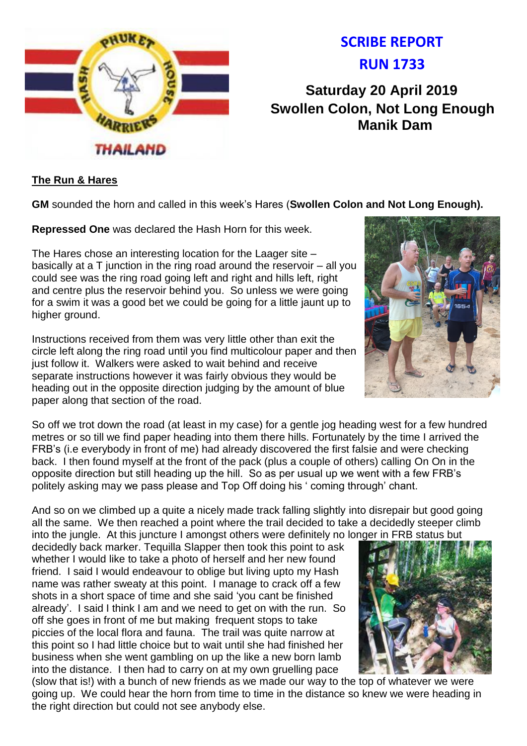

# **SCRIBE REPORT RUN 1733**

**Saturday 20 April 2019 Swollen Colon, Not Long Enough Manik Dam**

# **The Run & Hares**

**GM** sounded the horn and called in this week's Hares (**Swollen Colon and Not Long Enough).**

**Repressed One** was declared the Hash Horn for this week.

The Hares chose an interesting location for the Laager site – basically at a T junction in the ring road around the reservoir – all you could see was the ring road going left and right and hills left, right and centre plus the reservoir behind you. So unless we were going for a swim it was a good bet we could be going for a little jaunt up to higher ground.

Instructions received from them was very little other than exit the circle left along the ring road until you find multicolour paper and then just follow it. Walkers were asked to wait behind and receive separate instructions however it was fairly obvious they would be heading out in the opposite direction judging by the amount of blue paper along that section of the road.

So off we trot down the road (at least in my case) for a gentle jog heading west for a few hundred metres or so till we find paper heading into them there hills. Fortunately by the time I arrived the FRB's (i.e everybody in front of me) had already discovered the first falsie and were checking back. I then found myself at the front of the pack (plus a couple of others) calling On On in the opposite direction but still heading up the hill. So as per usual up we went with a few FRB's politely asking may we pass please and Top Off doing his ' coming through' chant.

And so on we climbed up a quite a nicely made track falling slightly into disrepair but good going all the same. We then reached a point where the trail decided to take a decidedly steeper climb into the jungle. At this juncture I amongst others were definitely no longer in FRB status but

decidedly back marker. Tequilla Slapper then took this point to ask whether I would like to take a photo of herself and her new found friend. I said I would endeavour to oblige but living upto my Hash name was rather sweaty at this point. I manage to crack off a few shots in a short space of time and she said 'you cant be finished already'. I said I think I am and we need to get on with the run. So off she goes in front of me but making frequent stops to take piccies of the local flora and fauna. The trail was quite narrow at this point so I had little choice but to wait until she had finished her business when she went gambling on up the like a new born lamb into the distance. I then had to carry on at my own gruelling pace



(slow that is!) with a bunch of new friends as we made our way to the top of whatever we were going up. We could hear the horn from time to time in the distance so knew we were heading in the right direction but could not see anybody else.

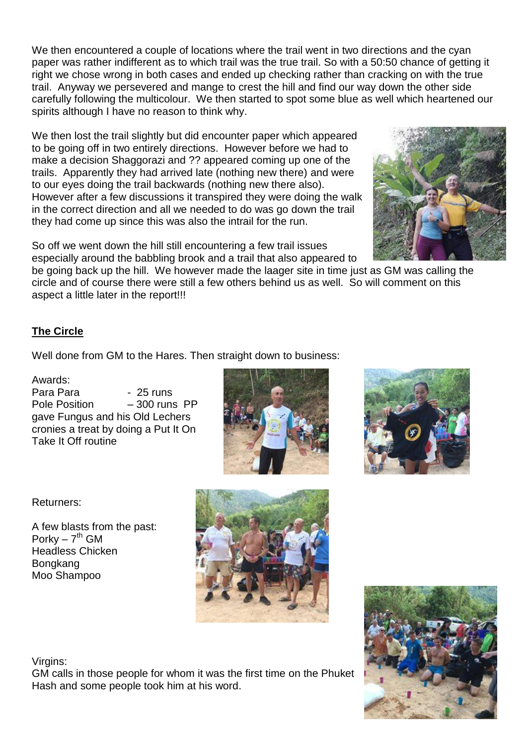We then encountered a couple of locations where the trail went in two directions and the cyan paper was rather indifferent as to which trail was the true trail. So with a 50:50 chance of getting it right we chose wrong in both cases and ended up checking rather than cracking on with the true trail. Anyway we persevered and mange to crest the hill and find our way down the other side carefully following the multicolour. We then started to spot some blue as well which heartened our spirits although I have no reason to think why.

We then lost the trail slightly but did encounter paper which appeared to be going off in two entirely directions. However before we had to make a decision Shaggorazi and ?? appeared coming up one of the trails. Apparently they had arrived late (nothing new there) and were to our eyes doing the trail backwards (nothing new there also). However after a few discussions it transpired they were doing the walk in the correct direction and all we needed to do was go down the trail they had come up since this was also the intrail for the run.

So off we went down the hill still encountering a few trail issues especially around the babbling brook and a trail that also appeared to

be going back up the hill. We however made the laager site in time just as GM was calling the circle and of course there were still a few others behind us as well. So will comment on this aspect a little later in the report!!!

# **The Circle**

Well done from GM to the Hares. Then straight down to business:

# Awards:

Para Para - 25 runs Pole Position – 300 runs PP gave Fungus and his Old Lechers cronies a treat by doing a Put It On Take It Off routine





Returners:

A few blasts from the past: Porky –  $7<sup>th</sup>$  GM Headless Chicken Bongkang Moo Shampoo





# Virgins:

GM calls in those people for whom it was the first time on the Phuket Hash and some people took him at his word.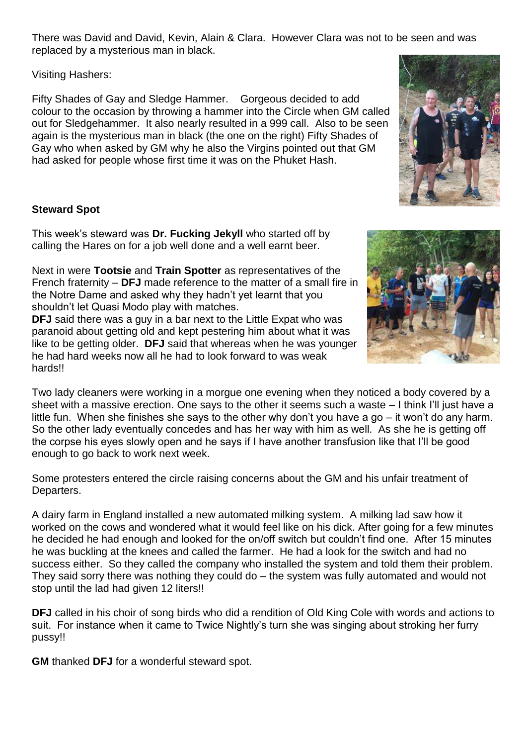There was David and David, Kevin, Alain & Clara. However Clara was not to be seen and was replaced by a mysterious man in black.

Visiting Hashers:

Fifty Shades of Gay and Sledge Hammer. Gorgeous decided to add colour to the occasion by throwing a hammer into the Circle when GM called out for Sledgehammer. It also nearly resulted in a 999 call. Also to be seen again is the mysterious man in black (the one on the right) Fifty Shades of Gay who when asked by GM why he also the Virgins pointed out that GM had asked for people whose first time it was on the Phuket Hash.

# **Steward Spot**

This week's steward was **Dr. Fucking Jekyll** who started off by calling the Hares on for a job well done and a well earnt beer.

Next in were **Tootsie** and **Train Spotter** as representatives of the French fraternity – **DFJ** made reference to the matter of a small fire in the Notre Dame and asked why they hadn't yet learnt that you shouldn't let Quasi Modo play with matches.

**DFJ** said there was a guy in a bar next to the Little Expat who was paranoid about getting old and kept pestering him about what it was like to be getting older. **DFJ** said that whereas when he was younger he had hard weeks now all he had to look forward to was weak hards!!

Two lady cleaners were working in a morgue one evening when they noticed a body covered by a sheet with a massive erection. One says to the other it seems such a waste – I think I'll just have a little fun. When she finishes she says to the other why don't you have a go – it won't do any harm. So the other lady eventually concedes and has her way with him as well. As she he is getting off the corpse his eyes slowly open and he says if I have another transfusion like that I'll be good enough to go back to work next week.

Some protesters entered the circle raising concerns about the GM and his unfair treatment of Departers.

A dairy farm in England installed a new automated milking system. A milking lad saw how it worked on the cows and wondered what it would feel like on his dick. After going for a few minutes he decided he had enough and looked for the on/off switch but couldn't find one. After 15 minutes he was buckling at the knees and called the farmer. He had a look for the switch and had no success either. So they called the company who installed the system and told them their problem. They said sorry there was nothing they could do – the system was fully automated and would not stop until the lad had given 12 liters!!

**DFJ** called in his choir of song birds who did a rendition of Old King Cole with words and actions to suit. For instance when it came to Twice Nightly's turn she was singing about stroking her furry pussy!!

**GM** thanked **DFJ** for a wonderful steward spot.



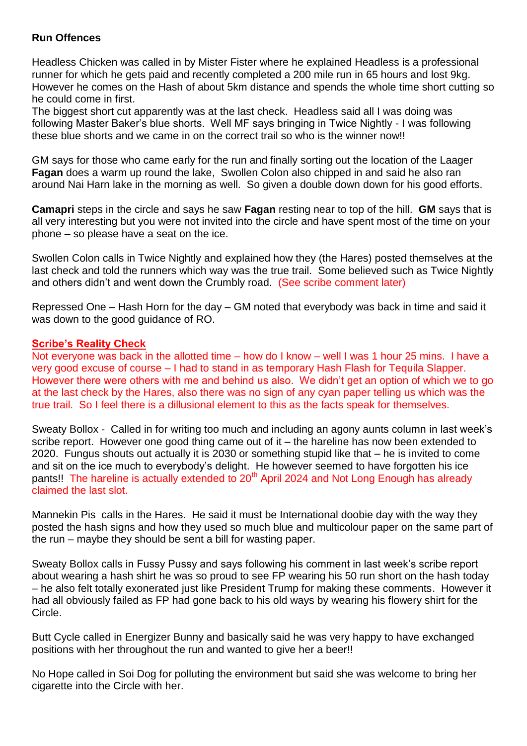#### **Run Offences**

Headless Chicken was called in by Mister Fister where he explained Headless is a professional runner for which he gets paid and recently completed a 200 mile run in 65 hours and lost 9kg. However he comes on the Hash of about 5km distance and spends the whole time short cutting so he could come in first.

The biggest short cut apparently was at the last check. Headless said all I was doing was following Master Baker's blue shorts. Well MF says bringing in Twice Nightly - I was following these blue shorts and we came in on the correct trail so who is the winner now!!

GM says for those who came early for the run and finally sorting out the location of the Laager **Fagan** does a warm up round the lake, Swollen Colon also chipped in and said he also ran around Nai Harn lake in the morning as well. So given a double down down for his good efforts.

**Camapri** steps in the circle and says he saw **Fagan** resting near to top of the hill. **GM** says that is all very interesting but you were not invited into the circle and have spent most of the time on your phone – so please have a seat on the ice.

Swollen Colon calls in Twice Nightly and explained how they (the Hares) posted themselves at the last check and told the runners which way was the true trail. Some believed such as Twice Nightly and others didn't and went down the Crumbly road. (See scribe comment later)

Repressed One – Hash Horn for the day – GM noted that everybody was back in time and said it was down to the good guidance of RO.

#### **Scribe's Reality Check**

Not everyone was back in the allotted time – how do I know – well I was 1 hour 25 mins. I have a very good excuse of course – I had to stand in as temporary Hash Flash for Tequila Slapper. However there were others with me and behind us also. We didn't get an option of which we to go at the last check by the Hares, also there was no sign of any cyan paper telling us which was the true trail. So I feel there is a dillusional element to this as the facts speak for themselves.

Sweaty Bollox - Called in for writing too much and including an agony aunts column in last week's scribe report. However one good thing came out of it – the hareline has now been extended to 2020. Fungus shouts out actually it is 2030 or something stupid like that – he is invited to come and sit on the ice much to everybody's delight. He however seemed to have forgotten his ice pants!! The hareline is actually extended to 20<sup>th</sup> April 2024 and Not Long Enough has already claimed the last slot.

Mannekin Pis calls in the Hares. He said it must be International doobie day with the way they posted the hash signs and how they used so much blue and multicolour paper on the same part of the run – maybe they should be sent a bill for wasting paper.

Sweaty Bollox calls in Fussy Pussy and says following his comment in last week's scribe report about wearing a hash shirt he was so proud to see FP wearing his 50 run short on the hash today – he also felt totally exonerated just like President Trump for making these comments. However it had all obviously failed as FP had gone back to his old ways by wearing his flowery shirt for the Circle.

Butt Cycle called in Energizer Bunny and basically said he was very happy to have exchanged positions with her throughout the run and wanted to give her a beer!!

No Hope called in Soi Dog for polluting the environment but said she was welcome to bring her cigarette into the Circle with her.